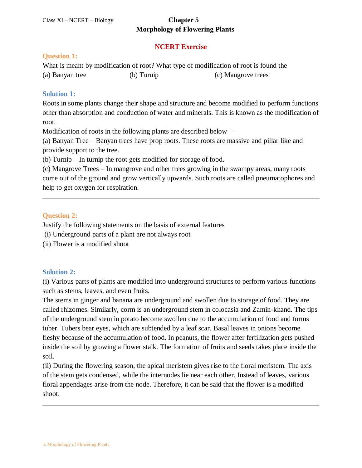#### **NCERT Exercise**

#### **Question 1:**

What is meant by modification of root? What type of modification of root is found the (a) Banyan tree (b) Turnip (c) Mangrove trees

#### **Solution 1:**

Roots in some plants change their shape and structure and become modified to perform functions other than absorption and conduction of water and minerals. This is known as the modification of root.

Modification of roots in the following plants are described below –

(a) Banyan Tree – Banyan trees have prop roots. These roots are massive and pillar like and provide support to the tree.

(b) Turnip – In turnip the root gets modified for storage of food.

(c) Mangrove Trees – In mangrove and other trees growing in the swampy areas, many roots come out of the ground and grow vertically upwards. Such roots are called pneumatophores and help to get oxygen for respiration.

#### **Question 2:**

Justify the following statements on the basis of external features

- (i) Underground parts of a plant are not always root
- (ii) Flower is a modified shoot

#### **Solution 2:**

(i) Various parts of plants are modified into underground structures to perform various functions such as stems, leaves, and even fruits.

The stems in ginger and banana are underground and swollen due to storage of food. They are called rhizomes. Similarly, corm is an underground stem in colocasia and Zamin-khand. The tips of the underground stem in potato become swollen due to the accumulation of food and forms tuber. Tubers bear eyes, which are subtended by a leaf scar. Basal leaves in onions become fleshy because of the accumulation of food. In peanuts, the flower after fertilization gets pushed inside the soil by growing a flower stalk. The formation of fruits and seeds takes place inside the soil.

(ii) During the flowering season, the apical meristem gives rise to the floral meristem. The axis of the stem gets condensed, while the internodes lie near each other. Instead of leaves, various floral appendages arise from the node. Therefore, it can be said that the flower is a modified shoot.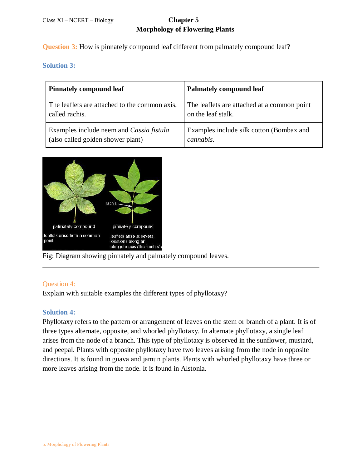**Question 3:** How is pinnately compound leaf different from palmately compound leaf?

**Solution 3:** 

| <b>Pinnately compound leaf</b>                | <b>Palmately compound leaf</b>              |
|-----------------------------------------------|---------------------------------------------|
| The leaflets are attached to the common axis, | The leaflets are attached at a common point |
| called rachis.                                | on the leaf stalk.                          |
| Examples include neem and Cassia fistula      | Examples include silk cotton (Bombax and    |
| (also called golden shower plant)             | cannabis.                                   |



Fig: Diagram showing pinnately and palmately compound leaves.

#### Question 4:

Explain with suitable examples the different types of phyllotaxy?

#### **Solution 4:**

Phyllotaxy refers to the pattern or arrangement of leaves on the stem or branch of a plant. It is of three types alternate, opposite, and whorled phyllotaxy. In alternate phyllotaxy, a single leaf arises from the node of a branch. This type of phyllotaxy is observed in the sunflower, mustard, and peepal. Plants with opposite phyllotaxy have two leaves arising from the node in opposite directions. It is found in guava and jamun plants. Plants with whorled phyllotaxy have three or more leaves arising from the node. It is found in Alstonia.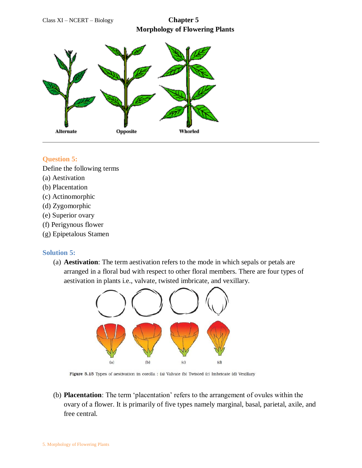Class XI – NCERT – Biology **Chapter 5 Morphology of Flowering Plants**



#### **Question 5:**

Define the following terms

- (a) Aestivation
- (b) Placentation
- (c) Actinomorphic
- (d) Zygomorphic
- (e) Superior ovary
- (f) Perigynous flower
- (g) Epipetalous Stamen

#### **Solution 5:**

(a) **Aestivation**: The term aestivation refers to the mode in which sepals or petals are arranged in a floral bud with respect to other floral members. There are four types of aestivation in plants i.e., valvate, twisted imbricate, and vexillary.



Figure 5.15 Types of aestivation in corolla : (a) Valvate (b) Twisted (c) Imbricate (d) Vexillary

(b) **Placentation**: The term 'placentation' refers to the arrangement of ovules within the ovary of a flower. It is primarily of five types namely marginal, basal, parietal, axile, and free central.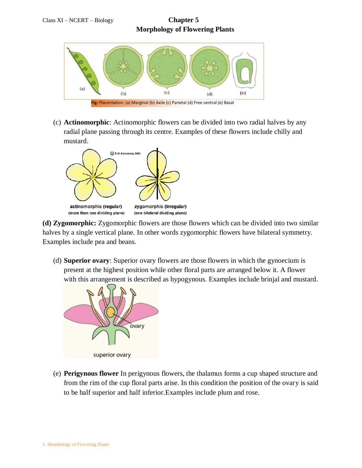



(c) **Actinomorphic**: Actinomorphic flowers can be divided into two radial halves by any radial plane passing through its centre. Examples of these flowers include chilly and mustard.



**(d) Zygomorphic:** Zygomorphic flowers are those flowers which can be divided into two similar halves by a single vertical plane. In other words zygomorphic flowers have bilateral symmetry. Examples include pea and beans.

(d) **Superior ovary**: Superior ovary flowers are those flowers in which the gynoecium is present at the highest position while other floral parts are arranged below it. A flower with this arrangement is described as hypogynous. Examples include brinjal and mustard.



(e) **Perigynous flower** In perigynous flowers, the thalamus forms a cup shaped structure and from the rim of the cup floral parts arise. In this condition the position of the ovary is said to be half superior and half inferior.Examples include plum and rose.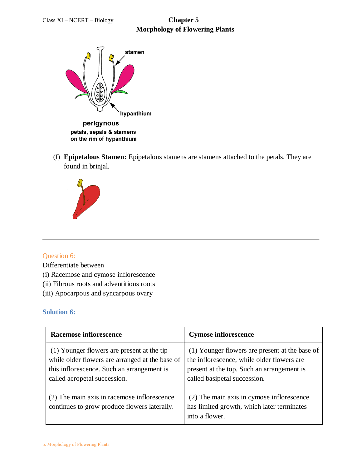

- on the rim of hypanthium
- (f) **Epipetalous Stamen:** Epipetalous stamens are stamens attached to the petals. They are found in brinjal.



#### Question 6:

Differentiate between

- (i) Racemose and cymose inflorescence
- (ii) Fibrous roots and adventitious roots
- (iii) Apocarpous and syncarpous ovary

#### **Solution 6:**

| <b>Racemose inflorescence</b>                                                                                                                                               | <b>Cymose inflorescence</b>                                                                                                                                                |
|-----------------------------------------------------------------------------------------------------------------------------------------------------------------------------|----------------------------------------------------------------------------------------------------------------------------------------------------------------------------|
| (1) Younger flowers are present at the tip<br>while older flowers are arranged at the base of<br>this inflorescence. Such an arrangement is<br>called acropetal succession. | (1) Younger flowers are present at the base of<br>the inflorescence, while older flowers are<br>present at the top. Such an arrangement is<br>called basipetal succession. |
| (2) The main axis in racemose inflorescence<br>continues to grow produce flowers laterally.                                                                                 | (2) The main axis in cymose inflorescence<br>has limited growth, which later terminates<br>into a flower.                                                                  |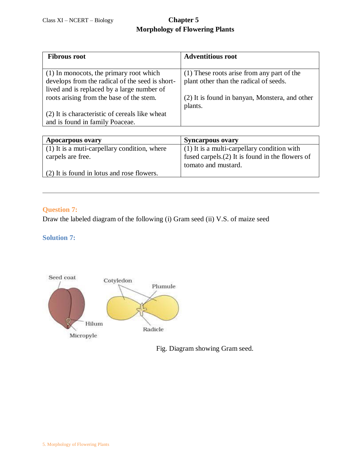| <b>Fibrous root</b>                             | <b>Adventitious root</b>                       |
|-------------------------------------------------|------------------------------------------------|
|                                                 |                                                |
| (1) In monocots, the primary root which         | (1) These roots arise from any part of the     |
| develops from the radical of the seed is short- | plant other than the radical of seeds.         |
| lived and is replaced by a large number of      |                                                |
| roots arising from the base of the stem.        | (2) It is found in banyan, Monstera, and other |
|                                                 | plants.                                        |
| (2) It is characteristic of cereals like wheat  |                                                |
| and is found in family Poaceae.                 |                                                |

| <b>Apocarpous ovary</b>                      | <b>Syncarpous ovary</b>                            |
|----------------------------------------------|----------------------------------------------------|
| (1) It is a muti-carpellary condition, where | $(1)$ It is a multi-carpellary condition with      |
| carpels are free.                            | fused carpels. $(2)$ It is found in the flowers of |
|                                              | tomato and mustard.                                |
| (2) It is found in lotus and rose flowers.   |                                                    |

### **Question 7:**

Draw the labeled diagram of the following (i) Gram seed (ii) V.S. of maize seed

#### **Solution 7:**



Fig. Diagram showing Gram seed.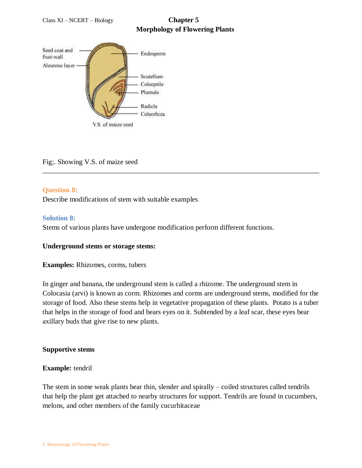

#### Fig;. Showing V.S. of maize seed

#### **Question 8:**

Describe modifications of stem with suitable examples

#### **Solution 8:**

Stems of various plants have undergone modification perform different functions.

#### **Underground stems or storage stems:**

**Examples:** [Rhizomes, corms, tubers](https://www.ncertbooks.guru/cbse-ncert-solutions-pdf/)

In ginger and banana, the underground stem is called a rhizome. The underground stem in Colocasia (arvi) is known as corm. Rhizomes and corms are underground stems, modified for the storage of food. Also these stems help in vegetative propagation of these plants. Potato is a tuber that helps in the storage of food and bears eyes on it. Subtended by a leaf scar, these eyes bear axillary buds that give rise to new plants.

#### **Supportive stems**

#### **Example:** tendril

The stem in some weak plants bear thin, slender and spirally – coiled structures called tendrils that help the plant get attached to nearby structures for support. Tendrils are found in cucumbers, melons, and other members of the family cucurbitaceae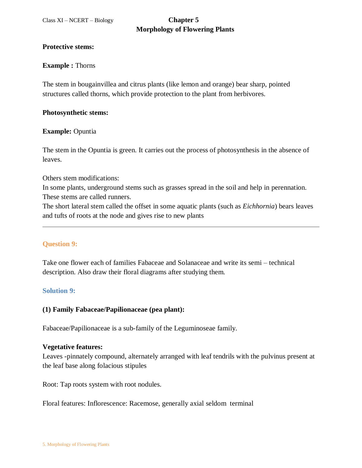#### **Protective stems:**

#### **Example :** Thorns

The stem in bougainvillea and citrus plants (like lemon and orange) bear sharp, pointed structures called thorns, which provide protection to the plant from herbivores.

#### **Photosynthetic stems:**

#### **Example:** Opuntia

The stem in the Opuntia is green. It carries out the process of photosynthesis in the absence of leaves.

Others stem modifications:

In some plants, underground stems such as grasses spread in the soil and help in perennation. These stems are called runners.

The short lateral stem called the offset in some aquatic plants (such as *Eichhornia*) bears leaves and tufts of roots at the node and gives rise to new plants

#### **Question 9:**

Take one flower each of families Fabaceae and Solanaceae and write its semi – technical description. Also draw their floral diagrams after studying them.

#### **Solution 9:**

#### **(1) Family Fabaceae/Papilionaceae (pea plant):**

Fabaceae/Papilionaceae is a sub-family of the Leguminoseae family.

#### **Vegetative features:**

Leaves -pinnately compound, alternately arranged with leaf tendrils with the pulvinus present at the leaf base along folacious stipules

Root: Tap roots system with root nodules.

Floral features: Inflorescence: Racemose, generally axial seldom terminal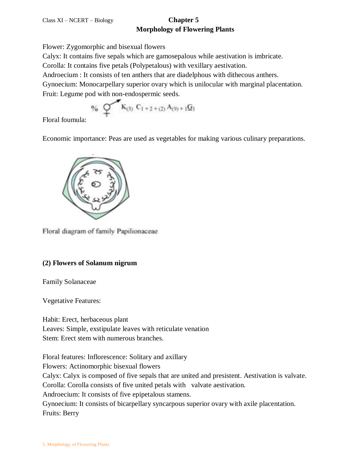Flower: Zygomorphic and bisexual flowers

Calyx: It contains five sepals which are gamosepalous while aestivation is imbricate.

Corolla: It contains five petals (Polypetalous) with vexillary aestivation.

Androecium : It consists of ten anthers that are diadelphous with dithecous anthers.

Gynoecium: Monocarpellary superior ovary which is unilocular with marginal placentation. Fruit: Legume pod with non-endospermic seeds.

$$
\text{\textbf{9}}_6 \quad \text{\textbf{Q}} \quad \text{\textbf{K}}_{(5)} \ C_{1+2+(2)} A_{(9)+1} \text{\textbf{G}}_1
$$

Floral foumula:

Economic importance: Peas are used as vegetables for making various culinary preparations.



Floral diagram of family Papilionaceae

### **(2) Flowers of Solanum nigrum**

Family Solanaceae

Vegetative Features:

Habit: Erect, herbaceous plant Leaves: Simple, exstipulate leaves with reticulate venation Stem: Erect stem with numerous branches.

Floral features: Inflorescence: Solitary and axillary

Flowers: Actinomorphic bisexual flowers

Calyx: Calyx is composed of five sepals that are united and presistent. Aestivation is valvate.

Corolla: Corolla consists of five united petals with valvate aestivation.

Androecium: It consists of five epipetalous stamens.

Gynoecium: It consists of bicarpellary syncarpous superior ovary with axile placentation. Fruits: Berry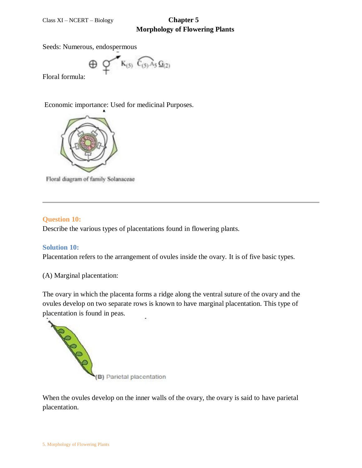Seeds: Numerous, endospermous

 $K_{(5)}$   $C_{(5)}$   $A_5$   $G_{(2)}$  $_{\oplus}$ 

Floral formula:

Economic importance: Used for medicinal Purposes.



Floral diagram of family Solanaceae

#### **Question 10:**

Describe the various types of placentations found in flowering plants.

#### **Solution 10:**

Placentation refers to the arrangement of ovules inside the ovary. It is of five basic types.

(A) Marginal placentation:

The ovary in which the placenta forms a ridge along the ventral suture of the ovary and the ovules develop on two separate rows is known to have marginal placentation. This type of placentation is found in peas.



When the ovules develop on the inner walls of the ovary, the ovary is said to have parietal placentation.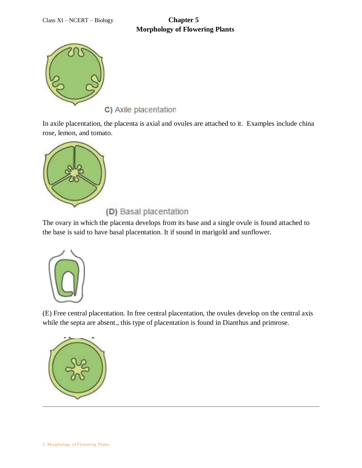

C) Axile placentation

In axile placentation, the placenta is axial and ovules are attached to it. Examples include china rose, lemon, and tomato.



(D) Basal placentation

The ovary in which the placenta develops from its base and a single ovule is found attached to the base is said to have basal placentation. It if sound in marigold and sunflower.



(E) Free central placentation. In free central placentation, the ovules develop on the central axis while the septa are absent., this type of placentation is found in Dianthus and primrose.

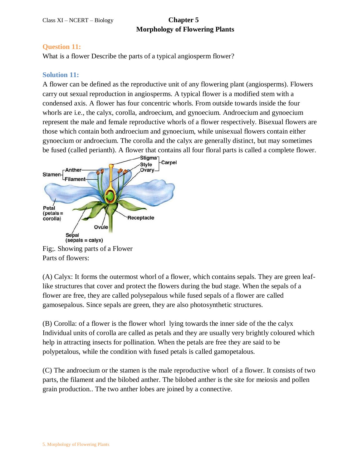#### **Question 11:**

What is a flower Describe the parts of a typical angiosperm flower?

#### **Solution 11:**

A flower can be defined as the reproductive unit of any flowering plant (angiosperms). Flowers carry out sexual reproduction in angiosperms. A typical flower is a modified stem with a condensed axis. A flower has four concentric whorls. From outside towards inside the four whorls are i.e., the calyx, corolla, androecium, and gynoecium. Androecium and gynoecium represent the male and female reproductive whorls of a flower respectively. Bisexual flowers are those which contain both androecium and gynoecium, while unisexual flowers contain either gynoecium or androecium. The corolla and the calyx are generally distinct, but may sometimes be fused (called perianth). A flower that contains all four floral parts is called a complete flower.



Fig;. Showing parts of a Flower Parts of flowers:

(A) Calyx: It forms the outermost whorl of a flower, which contains sepals. They are green leaflike structures that cover and protect the flowers during the bud stage. When the sepals of a flower are free, they are called polysepalous while fused sepals of a flower are called gamosepalous. Since sepals are green, they are also photosynthetic structures.

(B) Corolla: of a flower is the flower whorl lying towards the inner side of the the calyx Individual units of corolla are called as petals and they are usually very brightly coloured which help in attracting insects for pollination. When the petals are free they are said to be polypetalous, while the condition with fused petals is called gamopetalous.

(C) The androecium or the stamen is the male reproductive whorl of a flower. It consists of two parts, the filament and the bilobed anther. The bilobed anther is the site for meiosis and pollen grain production.. The two anther lobes are joined by a connective.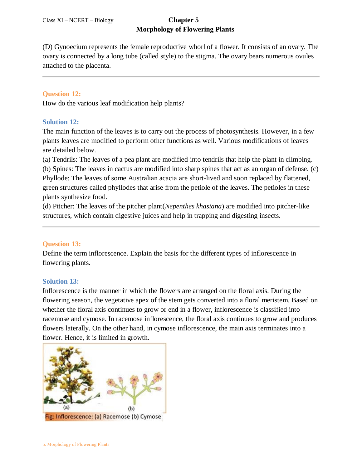(D) Gynoecium represents the female reproductive whorl of a flower. It consists of an ovary. The ovary is connected by a long tube (called style) to the stigma. The ovary bears numerous ovules attached to the placenta.

#### **Question 12:**

How do the various leaf modification help plants?

#### **Solution 12:**

The main function of the leaves is to carry out the process of photosynthesis. However, in a few plants leaves are modified to perform other functions as well. Various modifications of leaves are detailed below.

(a) Tendrils: The leaves of a pea plant are modified into tendrils that help the plant in climbing. (b) Spines: The leaves in cactus are modified into sharp spines that act as an organ of defense. (c) Phyllode: The leaves of some Australian acacia are short-lived and soon replaced by flattened, green structures called phyllodes that arise from the petiole of the leaves. The petioles in these plants synthesize food.

(d) Pitcher: The leaves of the pitcher plant(*Nepenthes khasiana*) are modified into pitcher-like structures, which contain digestive juices and help in trapping and digesting insects.

#### **Question 13:**

Define the term inflorescence. Explain the basis for the different types of inflorescence in flowering plants.

#### **Solution 13:**

Inflorescence is the manner in which the flowers are arranged on the floral axis. During the flowering season, the vegetative apex of the stem gets converted into a floral meristem. Based on whether the floral axis continues to grow or end in a flower, inflorescence is classified into racemose and cymose. In racemose inflorescence, the floral axis continues to grow and produces flowers laterally. On the other hand, in cymose inflorescence, the main axis terminates into a flower. Hence, it is limited in growth.

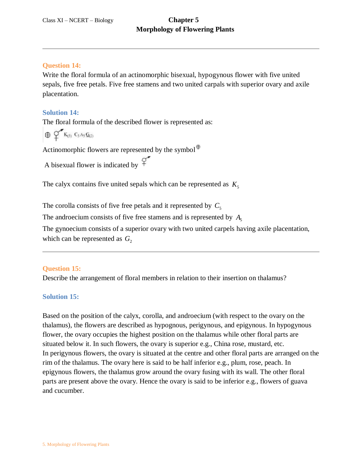#### **Question 14:**

Write the floral formula of an actinomorphic bisexual, hypogynous flower with five united sepals, five free petals. Five free stamens and two united carpals with superior ovary and axile placentation.

#### **Solution 14:**

The floral formula of the described flower is represented as:

 $\oplus$   $\circ$   $K_{(5)}$   $C_5$  A<sub>5</sub>  $G_{(2)}$ 

Actinomorphic flowers are represented by the symbol $\Phi$ 

A bisexual flower is indicated by  $\varphi$ 

The calyx contains five united sepals which can be represented as  $K_5$ 

The corolla consists of five free petals and it represented by  $C_5$ 

The androecium consists of five free stamens and is represented by  $A_5$ 

The gynoecium consists of a superior ovary with two united carpels having axile placentation, which can be represented as  $G_2$ 

#### **Question 15:**

Describe the arrangement of floral members in relation to their insertion on thalamus?

#### **Solution 15:**

Based on the position of the calyx, corolla, and androecium (with respect to the ovary on the thalamus), the flowers are described as hypognous, perigynous, and epigynous. In hypogynous flower, the ovary occupies the highest position on the thalamus while other floral parts are situated below it. In such flowers, the ovary is superior e.g., China rose, mustard, etc. In perigynous flowers, the ovary is situated at the centre and other floral parts are arranged on the rim of the thalamus. The ovary here is said to be half inferior e.g., plum, rose, peach. In epigynous flowers, the thalamus grow around the ovary fusing with its wall. The other floral parts are present above the ovary. Hence the ovary is said to be inferior e.g., flowers of guava and cucumber.